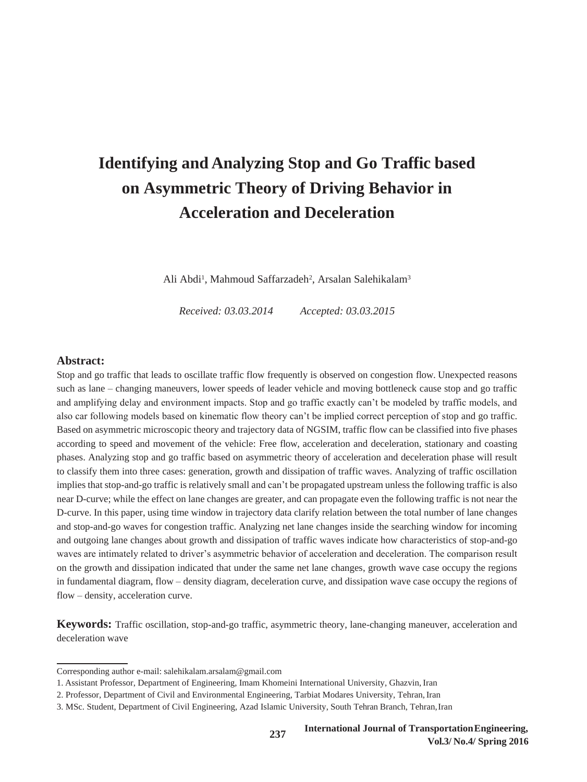# **Identifying and Analyzing Stop and Go Traffic based on Asymmetric Theory of Driving Behavior in Acceleration and Deceleration**

Ali Abdi<sup>1</sup>, Mahmoud Saffarzadeh<sup>2</sup>, Arsalan Salehikalam<sup>3</sup>

*Received: 03.03.2014 Accepted: 03.03.2015*

# **Abstract:**

Stop and go traffic that leads to oscillate traffic flow frequently is observed on congestion flow. Unexpected reasons such as lane – changing maneuvers, lower speeds of leader vehicle and moving bottleneck cause stop and go traffic and amplifying delay and environment impacts. Stop and go traffic exactly can't be modeled by traffic models, and also car following models based on kinematic flow theory can't be implied correct perception of stop and go traffic. Based on asymmetric microscopic theory and trajectory data of NGSIM, traffic flow can be classified into five phases according to speed and movement of the vehicle: Free flow, acceleration and deceleration, stationary and coasting phases. Analyzing stop and go traffic based on asymmetric theory of acceleration and deceleration phase will result to classify them into three cases: generation, growth and dissipation of traffic waves. Analyzing of traffic oscillation implies that stop-and-go traffic is relatively small and can't be propagated upstream unless the following traffic is also near D-curve; while the effect on lane changes are greater, and can propagate even the following traffic is not near the D-curve. In this paper, using time window in trajectory data clarify relation between the total number of lane changes and stop-and-go waves for congestion traffic. Analyzing net lane changes inside the searching window for incoming and outgoing lane changes about growth and dissipation of traffic waves indicate how characteristics of stop-and-go waves are intimately related to driver's asymmetric behavior of acceleration and deceleration. The comparison result on the growth and dissipation indicated that under the same net lane changes, growth wave case occupy the regions in fundamental diagram, flow – density diagram, deceleration curve, and dissipation wave case occupy the regions of flow – density, acceleration curve.

**Keywords:** Traffic oscillation, stop-and-go traffic, asymmetric theory, lane-changing maneuver, acceleration and deceleration wave

Corresponding author e-mail[: salehikalam.arsalam@gmail.com](mailto:salehikalam.arsalam@gmail.com)

<sup>1.</sup> Assistant Professor, Department of Engineering, Imam Khomeini International University, Ghazvin, Iran

<sup>2.</sup> Professor, Department of Civil and Environmental Engineering, Tarbiat Modares University, Tehran, Iran

<sup>3.</sup> MSc. Student, Department of Civil Engineering, Azad Islamic University, South Tehran Branch, Tehran,Iran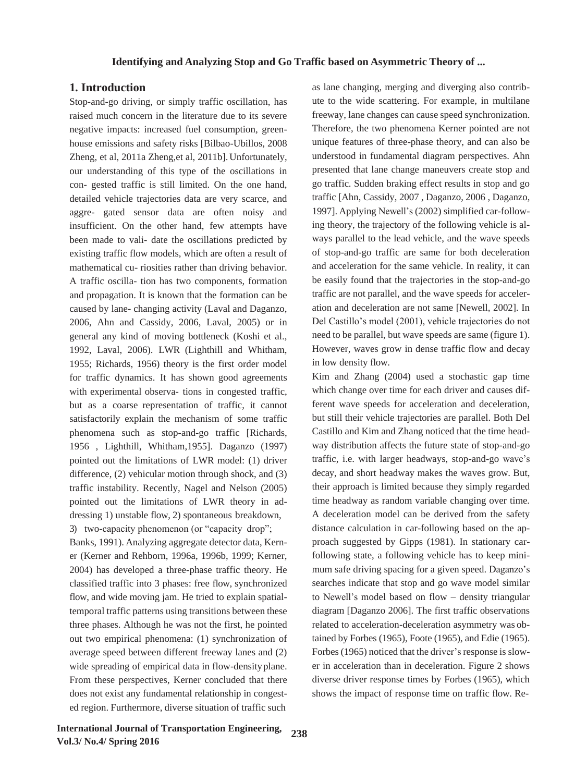# **1. Introduction**

Stop-and-go driving, or simply traffic oscillation, has raised much concern in the literature due to its severe negative impacts: increased fuel consumption, greenhouse emissions and safety risks [Bilbao-Ubillos, 2008 Zheng, et al, 2011a Zheng,et al, 2011b].Unfortunately, our understanding of this type of the oscillations in con- gested traffic is still limited. On the one hand, detailed vehicle trajectories data are very scarce, and aggre- gated sensor data are often noisy and insufficient. On the other hand, few attempts have been made to vali- date the oscillations predicted by existing traffic flow models, which are often a result of mathematical cu- riosities rather than driving behavior. A traffic oscilla- tion has two components, formation and propagation. It is known that the formation can be caused by lane- changing activity (Laval and Daganzo, 2006, Ahn and Cassidy, 2006, Laval, 2005) or in general any kind of moving bottleneck (Koshi et al., 1992, Laval, 2006). LWR (Lighthill and Whitham, 1955; Richards, 1956) theory is the first order model for traffic dynamics. It has shown good agreements with experimental observa- tions in congested traffic. but as a coarse representation of traffic, it cannot satisfactorily explain the mechanism of some traffic phenomena such as stop-and-go traffic [Richards, 1956 , Lighthill, Whitham,1955]. Daganzo (1997) pointed out the limitations of LWR model: (1) driver difference, (2) vehicular motion through shock, and (3) traffic instability. Recently, Nagel and Nelson (2005) pointed out the limitations of LWR theory in addressing 1) unstable flow, 2) spontaneous breakdown, 3) two-capacity phenomenon (or "capacity drop";

Banks, 1991). Analyzing aggregate detector data, Kerner (Kerner and Rehborn, 1996a, 1996b, 1999; Kerner, 2004) has developed a three-phase traffic theory. He classified traffic into 3 phases: free flow, synchronized flow, and wide moving jam. He tried to explain spatialtemporal traffic patterns using transitions between these three phases. Although he was not the first, he pointed out two empirical phenomena: (1) synchronization of average speed between different freeway lanes and (2) wide spreading of empirical data in flow-densityplane. From these perspectives, Kerner concluded that there does not exist any fundamental relationship in congested region. Furthermore, diverse situation of traffic such

as lane changing, merging and diverging also contribute to the wide scattering. For example, in multilane freeway, lane changes can cause speed synchronization. Therefore, the two phenomena Kerner pointed are not unique features of three-phase theory, and can also be understood in fundamental diagram perspectives. Ahn presented that lane change maneuvers create stop and go traffic. Sudden braking effect results in stop and go traffic [Ahn, Cassidy, 2007 , Daganzo, 2006 , Daganzo, 1997]. Applying Newell's (2002) simplified car-following theory, the trajectory of the following vehicle is always parallel to the lead vehicle, and the wave speeds of stop-and-go traffic are same for both deceleration and acceleration for the same vehicle. In reality, it can be easily found that the trajectories in the stop-and-go traffic are not parallel, and the wave speeds for acceleration and deceleration are not same [Newell, 2002]. In Del Castillo's model (2001), vehicle trajectories do not need to be parallel, but wave speeds are same (figure 1). However, waves grow in dense traffic flow and decay in low density flow.

Kim and Zhang (2004) used a stochastic gap time which change over time for each driver and causes different wave speeds for acceleration and deceleration, but still their vehicle trajectories are parallel. Both Del Castillo and Kim and Zhang noticed that the time headway distribution affects the future state of stop-and-go traffic, i.e. with larger headways, stop-and-go wave's decay, and short headway makes the waves grow. But, their approach is limited because they simply regarded time headway as random variable changing over time. A deceleration model can be derived from the safety distance calculation in car-following based on the approach suggested by Gipps (1981). In stationary carfollowing state, a following vehicle has to keep minimum safe driving spacing for a given speed. Daganzo's searches indicate that stop and go wave model similar to Newell's model based on flow – density triangular diagram [Daganzo 2006]. The first traffic observations related to acceleration-deceleration asymmetry was obtained by Forbes (1965), Foote (1965), and Edie (1965). Forbes (1965) noticed that the driver's response is slower in acceleration than in deceleration. Figure 2 shows diverse driver response times by Forbes (1965), which shows the impact of response time on traffic flow. Re-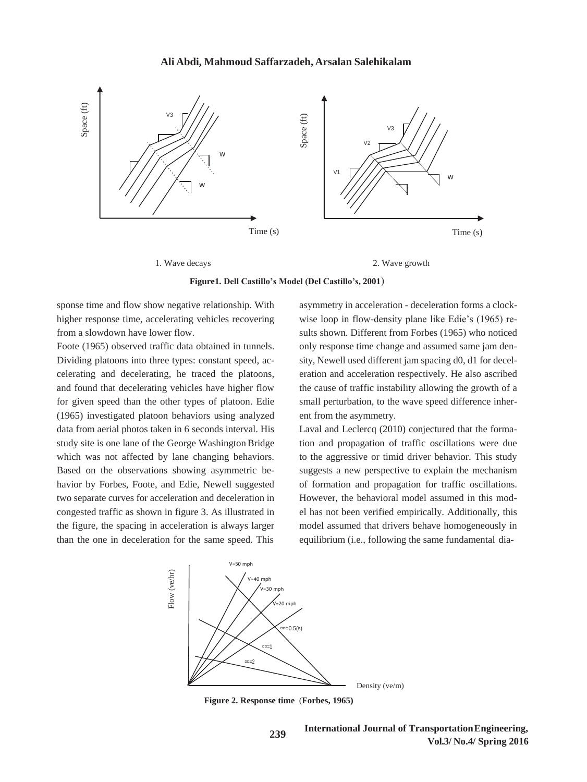

1. Wave decays 2. Wave growth

**Figure1. Dell Castillo's Model (Del Castillo's, 2001**(

sponse time and flow show negative relationship. With higher response time, accelerating vehicles recovering from a slowdown have lower flow.

Foote (1965) observed traffic data obtained in tunnels. Dividing platoons into three types: constant speed, accelerating and decelerating, he traced the platoons, and found that decelerating vehicles have higher flow for given speed than the other types of platoon. Edie (1965) investigated platoon behaviors using analyzed data from aerial photos taken in 6 seconds interval. His study site is one lane of the George Washington Bridge which was not affected by lane changing behaviors. Based on the observations showing asymmetric behavior by Forbes, Foote, and Edie, Newell suggested two separate curves for acceleration and deceleration in congested traffic as shown in figure 3. As illustrated in the figure, the spacing in acceleration is always larger than the one in deceleration for the same speed. This

asymmetry in acceleration - deceleration forms a clockwise loop in flow-density plane like Edie's (1965) results shown. Different from Forbes (1965) who noticed only response time change and assumed same jam density, Newell used different jam spacing d0, d1 for deceleration and acceleration respectively. He also ascribed the cause of traffic instability allowing the growth of a small perturbation, to the wave speed difference inherent from the asymmetry.

Laval and Leclercq (2010) conjectured that the formation and propagation of traffic oscillations were due to the aggressive or timid driver behavior. This study suggests a new perspective to explain the mechanism of formation and propagation for traffic oscillations. However, the behavioral model assumed in this model has not been verified empirically. Additionally, this model assumed that drivers behave homogeneously in equilibrium (i.e., following the same fundamental dia-



**Figure 2. Response time (Forbes, 1965)** 

**239**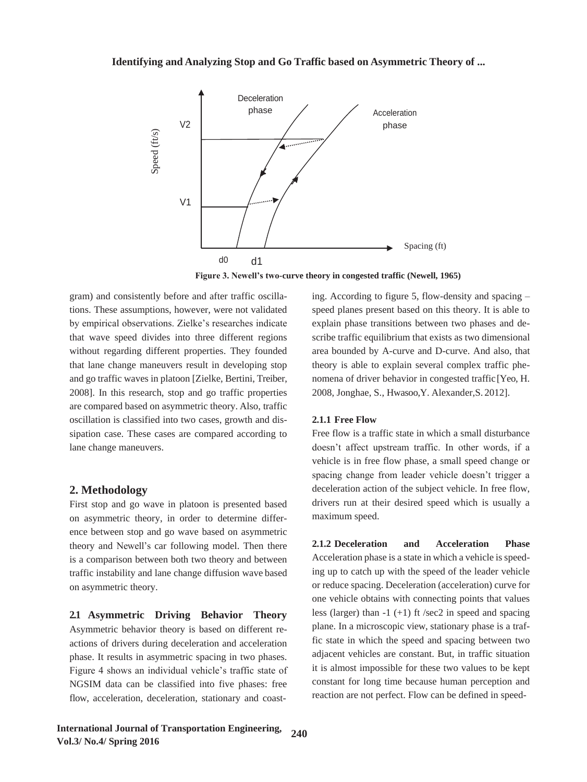

**Figure 3. Newell's two-curve theory in congested traffic (Newell, 1965)**

gram) and consistently before and after traffic oscillations. These assumptions, however, were not validated by empirical observations. Zielke's researches indicate that wave speed divides into three different regions without regarding different properties. They founded that lane change maneuvers result in developing stop and go traffic waves in platoon [Zielke, Bertini, Treiber, 2008]. In this research, stop and go traffic properties are compared based on asymmetric theory. Also, traffic oscillation is classified into two cases, growth and dissipation case. These cases are compared according to lane change maneuvers.

#### **2. Methodology**

First stop and go wave in platoon is presented based on asymmetric theory, in order to determine difference between stop and go wave based on asymmetric theory and Newell's car following model. Then there is a comparison between both two theory and between traffic instability and lane change diffusion wave based on asymmetric theory.

**2.1 Asymmetric Driving Behavior Theory**  Asymmetric behavior theory is based on different reactions of drivers during deceleration and acceleration phase. It results in asymmetric spacing in two phases. Figure 4 shows an individual vehicle's traffic state of NGSIM data can be classified into five phases: free flow, acceleration, deceleration, stationary and coasting. According to figure 5, flow-density and spacing – speed planes present based on this theory. It is able to explain phase transitions between two phases and describe traffic equilibrium that exists as two dimensional area bounded by A-curve and D-curve. And also, that theory is able to explain several complex traffic phenomena of driver behavior in congested traffic[Yeo, H. 2008, Jonghae, S., Hwasoo,Y. Alexander,S. 2012].

#### **2.1.1 Free Flow**

Free flow is a traffic state in which a small disturbance doesn't affect upstream traffic. In other words, if a vehicle is in free flow phase, a small speed change or spacing change from leader vehicle doesn't trigger a deceleration action of the subject vehicle. In free flow, drivers run at their desired speed which is usually a maximum speed.

**2.1.2 Deceleration and Acceleration Phase**  Acceleration phase is a state in which a vehicle is speeding up to catch up with the speed of the leader vehicle or reduce spacing. Deceleration (acceleration) curve for one vehicle obtains with connecting points that values less (larger) than  $-1$  ( $+1$ ) ft /sec2 in speed and spacing plane. In a microscopic view, stationary phase is a traffic state in which the speed and spacing between two adjacent vehicles are constant. But, in traffic situation it is almost impossible for these two values to be kept constant for long time because human perception and reaction are not perfect. Flow can be defined in speed-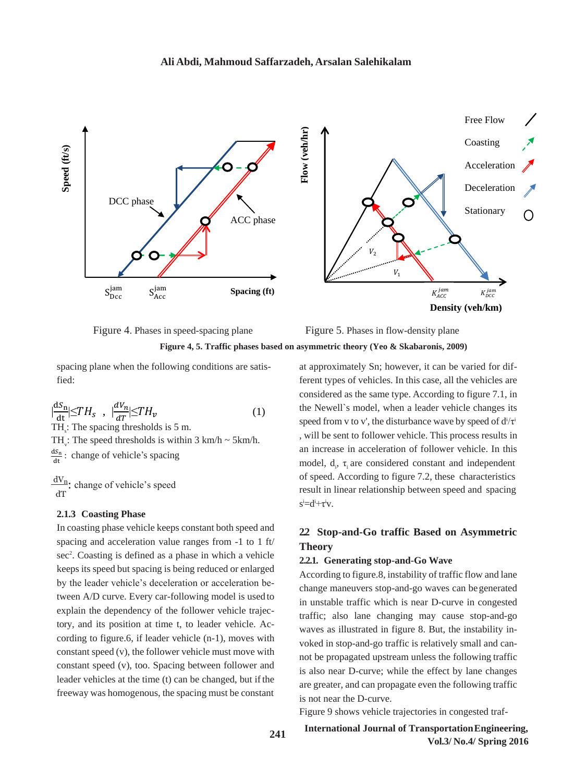





spacing plane when the following conditions are satisfied:

$$
\left|\frac{dS_n}{dt}\right| \le TH_s, \quad \left|\frac{dV_n}{dT}\right| \le TH_v \tag{1}
$$

TH $_{\rm s}$ : The spacing thresholds is 5 m. TH<sub>v</sub>: The speed thresholds is within  $3 \text{ km/h} \sim 5 \text{ km/h}$ .  $\frac{dS_n}{dt}$ : change of vehicle's spacing

 $\frac{dV_n}{dT}$ : change of vehicle's speed

# **2.1.3 Coasting Phase**

In coasting phase vehicle keeps constant both speed and spacing and acceleration value ranges from -1 to 1 ft/ sec<sup>2</sup>. Coasting is defined as a phase in which a vehicle keeps its speed but spacing is being reduced or enlarged by the leader vehicle's deceleration or acceleration between A/D curve. Every car-following model is used to explain the dependency of the follower vehicle trajectory, and its position at time t, to leader vehicle. According to figure.6, if leader vehicle (n-1), moves with constant speed (v), the follower vehicle must move with constant speed (v), too. Spacing between follower and leader vehicles at the time (t) can be changed, but if the freeway was homogenous, the spacing must be constant

at approximately Sn; however, it can be varied for different types of vehicles. In this case, all the vehicles are considered as the same type. According to figure 7.1, in the Newell`s model, when a leader vehicle changes its speed from v to v', the disturbance wave by speed of  $d^{i}/\tau$ , will be sent to follower vehicle. This process results in an increase in acceleration of follower vehicle. In this model,  $d_i$ ,  $\tau_i$  are considered constant and independent of speed. According to figure 7.2, these characteristics result in linear relationship between speed and spacing  $s^i = d^i + \tau^i v$ .

# **2.2 Stop-and-Go traffic Based on Asymmetric Theory**

#### **2.2.1. Generating stop-and-Go Wave**

According to figure.8, instability of traffic flow and lane change maneuvers stop-and-go waves can begenerated in unstable traffic which is near D-curve in congested traffic; also lane changing may cause stop-and-go waves as illustrated in figure 8. But, the instability invoked in stop-and-go traffic is relatively small and cannot be propagated upstream unless the following traffic is also near D-curve; while the effect by lane changes are greater, and can propagate even the following traffic is not near the D-curve.

Figure 9 shows vehicle trajectories in congested traf-

**241**

**International Journal of TransportationEngineering, Vol.3/ No.4/ Spring 2016**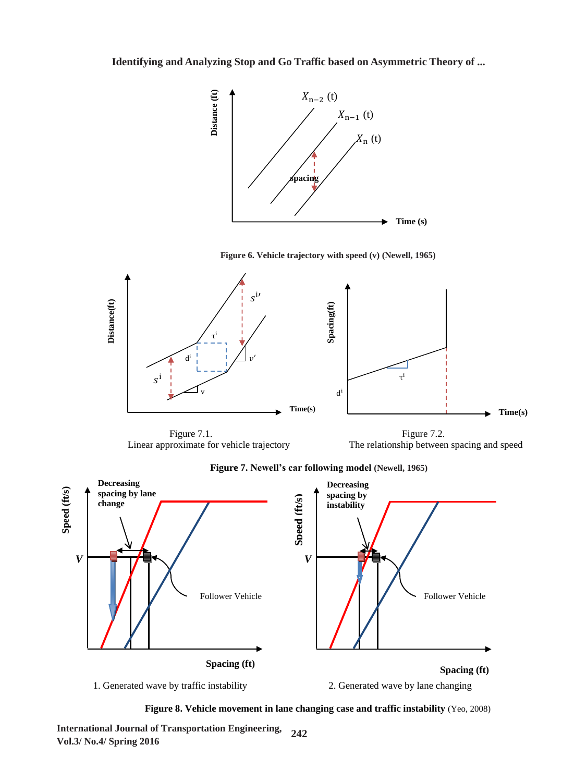

Figure 7.1. Figure 7.2. Linear approximate for vehicle trajectory The relationship between spacing and speed



**Figure 7. Newell's car following model (Newell, 1965)**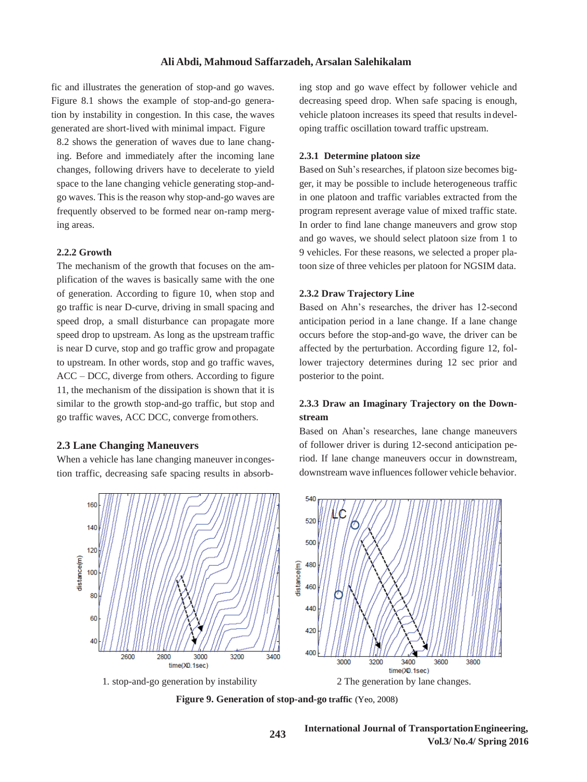fic and illustrates the generation of stop-and go waves. Figure 8.1 shows the example of stop-and-go generation by instability in congestion. In this case, the waves generated are short-lived with minimal impact. Figure

8.2 shows the generation of waves due to lane changing. Before and immediately after the incoming lane changes, following drivers have to decelerate to yield space to the lane changing vehicle generating stop-andgo waves. This is the reason why stop-and-go waves are frequently observed to be formed near on-ramp merging areas.

#### **2.2.2 Growth**

The mechanism of the growth that focuses on the amplification of the waves is basically same with the one of generation. According to figure 10, when stop and go traffic is near D-curve, driving in small spacing and speed drop, a small disturbance can propagate more speed drop to upstream. As long as the upstream traffic is near D curve, stop and go traffic grow and propagate to upstream. In other words, stop and go traffic waves, ACC – DCC, diverge from others. According to figure 11, the mechanism of the dissipation is shown that it is similar to the growth stop-and-go traffic, but stop and go traffic waves, ACC DCC, converge fromothers.

#### **2.3 Lane Changing Maneuvers**

When a vehicle has lane changing maneuver incongestion traffic, decreasing safe spacing results in absorbing stop and go wave effect by follower vehicle and decreasing speed drop. When safe spacing is enough, vehicle platoon increases its speed that results in developing traffic oscillation toward traffic upstream.

#### **2.3.1 Determine platoon size**

Based on Suh's researches, if platoon size becomes bigger, it may be possible to include heterogeneous traffic in one platoon and traffic variables extracted from the program represent average value of mixed traffic state. In order to find lane change maneuvers and grow stop and go waves, we should select platoon size from 1 to 9 vehicles. For these reasons, we selected a proper platoon size of three vehicles per platoon for NGSIM data.

#### **2.3.2 Draw Trajectory Line**

Based on Ahn's researches, the driver has 12-second anticipation period in a lane change. If a lane change occurs before the stop-and-go wave, the driver can be affected by the perturbation. According figure 12, follower trajectory determines during 12 sec prior and posterior to the point.

# **2.3.3 Draw an Imaginary Trajectory on the Downstream**

Based on Ahan's researches, lane change maneuvers of follower driver is during 12-second anticipation period. If lane change maneuvers occur in downstream, downstream wave influences follower vehicle behavior.





**243**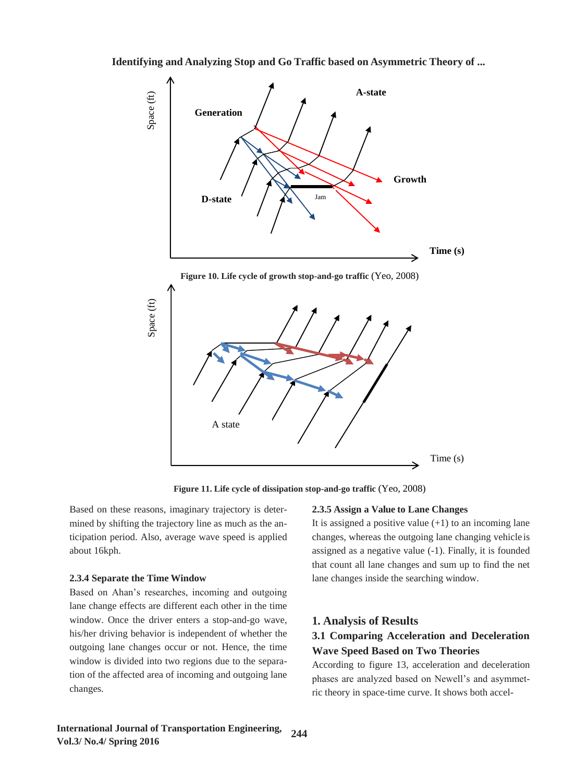

**Figure 11. Life cycle of dissipation stop-and-go traffic** (Yeo, 2008)

Based on these reasons, imaginary trajectory is determined by shifting the trajectory line as much as the anticipation period. Also, average wave speed is applied about 16kph.

#### **2.3.4 Separate the Time Window**

Based on Ahan's researches, incoming and outgoing lane change effects are different each other in the time window. Once the driver enters a stop-and-go wave, his/her driving behavior is independent of whether the outgoing lane changes occur or not. Hence, the time window is divided into two regions due to the separation of the affected area of incoming and outgoing lane changes.

#### **2.3.5 Assign a Value to Lane Changes**

It is assigned a positive value  $(+1)$  to an incoming lane changes, whereas the outgoing lane changing vehicle is assigned as a negative value (-1). Finally, it is founded that count all lane changes and sum up to find the net lane changes inside the searching window.

# **1. Analysis of Results**

# **3.1 Comparing Acceleration and Deceleration Wave Speed Based on Two Theories**

According to figure 13, acceleration and deceleration phases are analyzed based on Newell's and asymmetric theory in space-time curve. It shows both accel-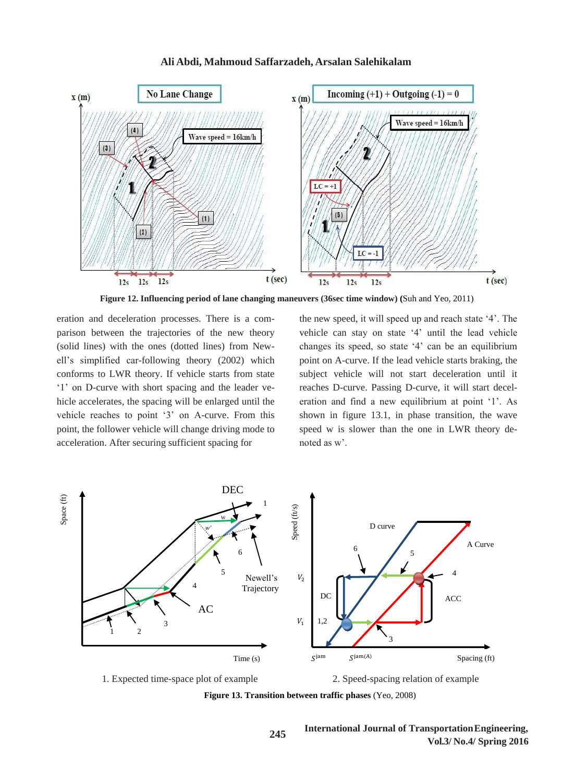

 **Figure 12. Influencing period of lane changing maneuvers (36sec time window) (**Suh and Yeo, 2011)

eration and deceleration processes. There is a comparison between the trajectories of the new theory (solid lines) with the ones (dotted lines) from Newell's simplified car-following theory (2002) which conforms to LWR theory. If vehicle starts from state '1' on D-curve with short spacing and the leader vehicle accelerates, the spacing will be enlarged until the vehicle reaches to point '3' on A-curve. From this point, the follower vehicle will change driving mode to acceleration. After securing sufficient spacing for

the new speed, it will speed up and reach state '4'. The vehicle can stay on state '4' until the lead vehicle changes its speed, so state '4' can be an equilibrium point on A-curve. If the lead vehicle starts braking, the subject vehicle will not start deceleration until it reaches D-curve. Passing D-curve, it will start deceleration and find a new equilibrium at point '1'. As shown in figure 13.1, in phase transition, the wave speed w is slower than the one in LWR theory denoted as w'.



**245**

**Figure 13. Transition between traffic phases** (Yeo, 2008)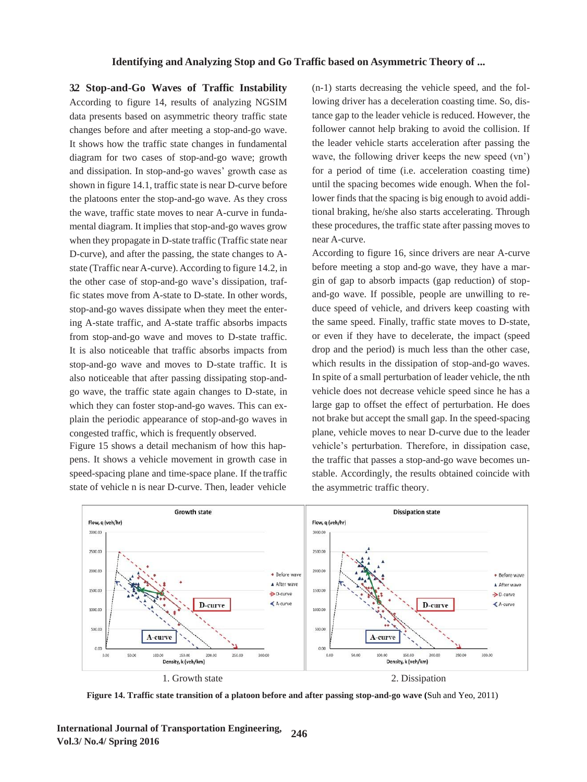**3.2 Stop-and-Go Waves of Traffic Instability**  According to figure 14, results of analyzing NGSIM data presents based on asymmetric theory traffic state changes before and after meeting a stop-and-go wave. It shows how the traffic state changes in fundamental diagram for two cases of stop-and-go wave; growth and dissipation. In stop-and-go waves' growth case as shown in figure 14.1, traffic state is near D-curve before the platoons enter the stop-and-go wave. As they cross the wave, traffic state moves to near A-curve in fundamental diagram. It implies that stop-and-go waves grow when they propagate in D-state traffic (Traffic state near D-curve), and after the passing, the state changes to Astate (Traffic near A-curve).According to figure 14.2, in the other case of stop-and-go wave's dissipation, traffic states move from A-state to D-state. In other words, stop-and-go waves dissipate when they meet the entering A-state traffic, and A-state traffic absorbs impacts from stop-and-go wave and moves to D-state traffic. It is also noticeable that traffic absorbs impacts from stop-and-go wave and moves to D-state traffic. It is also noticeable that after passing dissipating stop-andgo wave, the traffic state again changes to D-state, in which they can foster stop-and-go waves. This can explain the periodic appearance of stop-and-go waves in congested traffic, which is frequently observed.

Figure 15 shows a detail mechanism of how this happens. It shows a vehicle movement in growth case in speed-spacing plane and time-space plane. If the traffic state of vehicle n is near D-curve. Then, leader vehicle

(n-1) starts decreasing the vehicle speed, and the following driver has a deceleration coasting time. So, distance gap to the leader vehicle is reduced. However, the follower cannot help braking to avoid the collision. If the leader vehicle starts acceleration after passing the wave, the following driver keeps the new speed (vn') for a period of time (i.e. acceleration coasting time) until the spacing becomes wide enough. When the follower finds that the spacing is big enough to avoid additional braking, he/she also starts accelerating. Through these procedures, the traffic state after passing moves to near A-curve.

According to figure 16, since drivers are near A-curve before meeting a stop and-go wave, they have a margin of gap to absorb impacts (gap reduction) of stopand-go wave. If possible, people are unwilling to reduce speed of vehicle, and drivers keep coasting with the same speed. Finally, traffic state moves to D-state, or even if they have to decelerate, the impact (speed drop and the period) is much less than the other case, which results in the dissipation of stop-and-go waves. In spite of a small perturbation of leader vehicle, the nth vehicle does not decrease vehicle speed since he has a large gap to offset the effect of perturbation. He does not brake but accept the small gap. In the speed-spacing plane, vehicle moves to near D-curve due to the leader vehicle's perturbation. Therefore, in dissipation case, the traffic that passes a stop-and-go wave becomes unstable. Accordingly, the results obtained coincide with the asymmetric traffic theory.



 **Figure 14. Traffic state transition of a platoon before and after passing stop-and-go wave (**Suh and Yeo, 2011)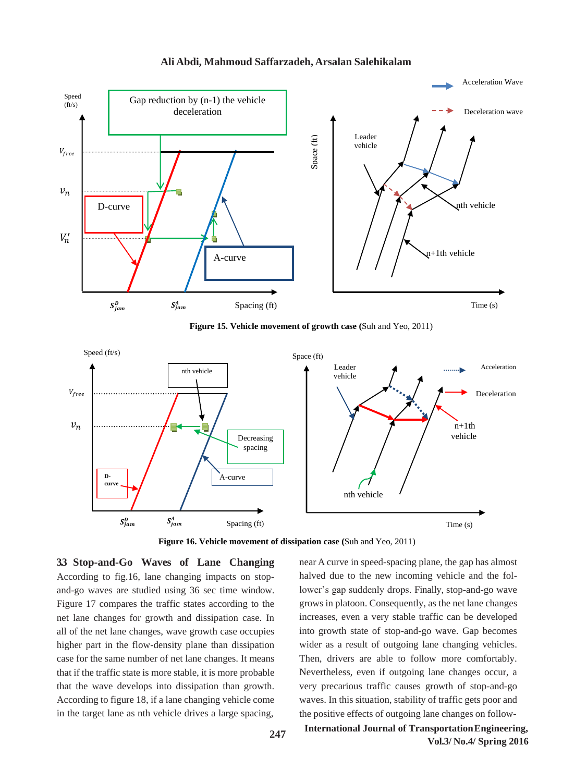

**Ali Abdi, Mahmoud Saffarzadeh, Arsalan Salehikalam**

**Figure 15. Vehicle movement of growth case (**Suh and Yeo, 2011)



**Figure 16. Vehicle movement of dissipation case (**Suh and Yeo, 2011)

**3.3 Stop-and-Go Waves of Lane Changing** 

According to fig.16, lane changing impacts on stopand-go waves are studied using 36 sec time window. Figure 17 compares the traffic states according to the net lane changes for growth and dissipation case. In all of the net lane changes, wave growth case occupies higher part in the flow-density plane than dissipation case for the same number of net lane changes. It means that if the traffic state is more stable, it is more probable that the wave develops into dissipation than growth. According to figure 18, if a lane changing vehicle come in the target lane as nth vehicle drives a large spacing,

near A curve in speed-spacing plane, the gap has almost halved due to the new incoming vehicle and the follower's gap suddenly drops. Finally, stop-and-go wave grows in platoon. Consequently, as the net lane changes increases, even a very stable traffic can be developed into growth state of stop-and-go wave. Gap becomes wider as a result of outgoing lane changing vehicles. Then, drivers are able to follow more comfortably. Nevertheless, even if outgoing lane changes occur, a very precarious traffic causes growth of stop-and-go waves. In this situation, stability of traffic gets poor and the positive effects of outgoing lane changes on follow-

**International Journal of TransportationEngineering, Vol.3/ No.4/ Spring 2016**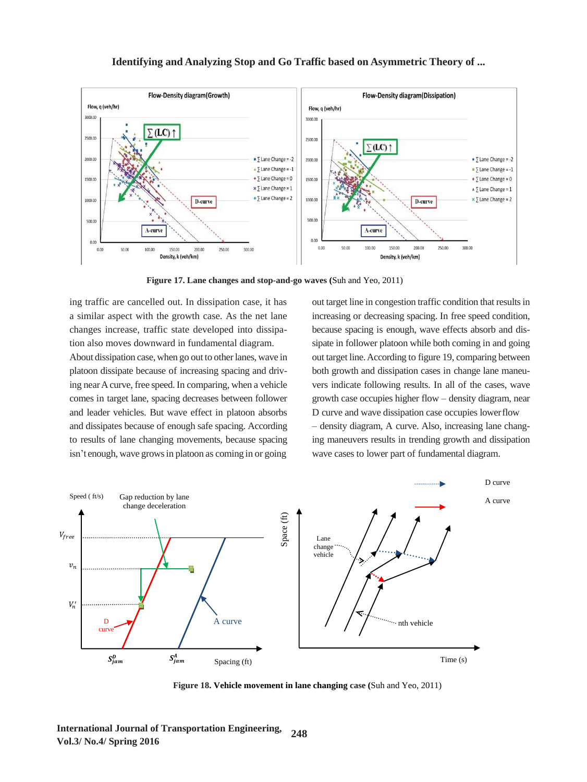## **Identifying and Analyzing Stop and Go Traffic based on Asymmetric Theory of ...**



 **Figure 17. Lane changes and stop-and-go waves (**Suh and Yeo, 2011)

ing traffic are cancelled out. In dissipation case, it has a similar aspect with the growth case. As the net lane changes increase, traffic state developed into dissipation also moves downward in fundamental diagram.

About dissipation case, when go out to otherlanes, wave in platoon dissipate because of increasing spacing and driving nearAcurve, free speed.In comparing, when a vehicle comes in target lane, spacing decreases between follower and leader vehicles. But wave effect in platoon absorbs and dissipates because of enough safe spacing. According to results of lane changing movements, because spacing isn't enough, wave growsin platoon as coming in or going

out target line in congestion traffic condition that resultsin increasing or decreasing spacing. In free speed condition, because spacing is enough, wave effects absorb and dissipate in follower platoon while both coming in and going out target line.According to figure 19, comparing between both growth and dissipation cases in change lane maneuvers indicate following results. In all of the cases, wave growth case occupies higher flow – density diagram, near D curve and wave dissipation case occupies lowerflow – density diagram, A curve. Also, increasing lane changing maneuvers results in trending growth and dissipation wave cases to lower part of fundamental diagram.



 **Figure 18. Vehicle movement in lane changing case (**Suh and Yeo, 2011)

**International Journal of Transportation Engineering, Vol.3/ No.4/ Spring 2016 248**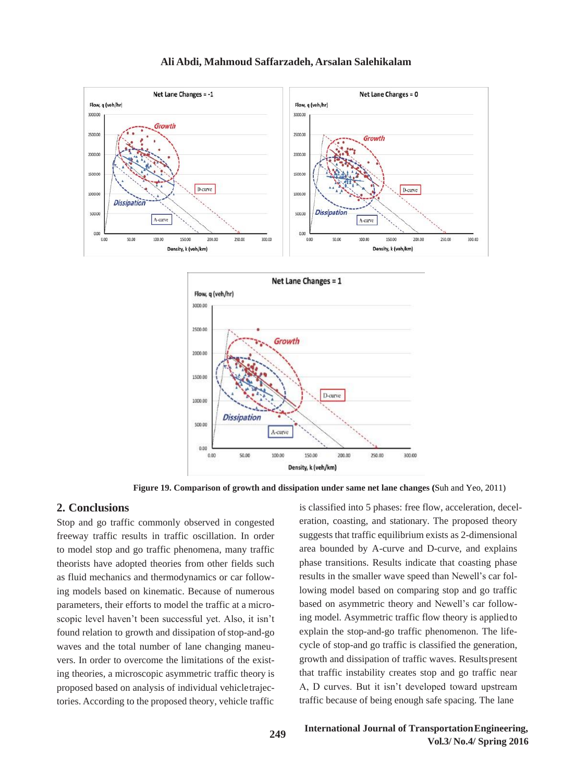



**Figure 19. Comparison of growth and dissipation under same net lane changes (**Suh and Yeo, 2011)

# **2. Conclusions**

Stop and go traffic commonly observed in congested freeway traffic results in traffic oscillation. In order to model stop and go traffic phenomena, many traffic theorists have adopted theories from other fields such as fluid mechanics and thermodynamics or car following models based on kinematic. Because of numerous parameters, their efforts to model the traffic at a microscopic level haven't been successful yet. Also, it isn't found relation to growth and dissipation of stop-and-go waves and the total number of lane changing maneuvers. In order to overcome the limitations of the existing theories, a microscopic asymmetric traffic theory is proposed based on analysis of individual vehicletrajectories. According to the proposed theory, vehicle traffic

is classified into 5 phases: free flow, acceleration, deceleration, coasting, and stationary. The proposed theory suggests that traffic equilibrium exists as 2-dimensional area bounded by A-curve and D-curve, and explains phase transitions. Results indicate that coasting phase results in the smaller wave speed than Newell's car following model based on comparing stop and go traffic based on asymmetric theory and Newell's car following model. Asymmetric traffic flow theory is appliedto explain the stop-and-go traffic phenomenon. The lifecycle of stop-and go traffic is classified the generation, growth and dissipation of traffic waves. Resultspresent that traffic instability creates stop and go traffic near A, D curves. But it isn't developed toward upstream traffic because of being enough safe spacing. The lane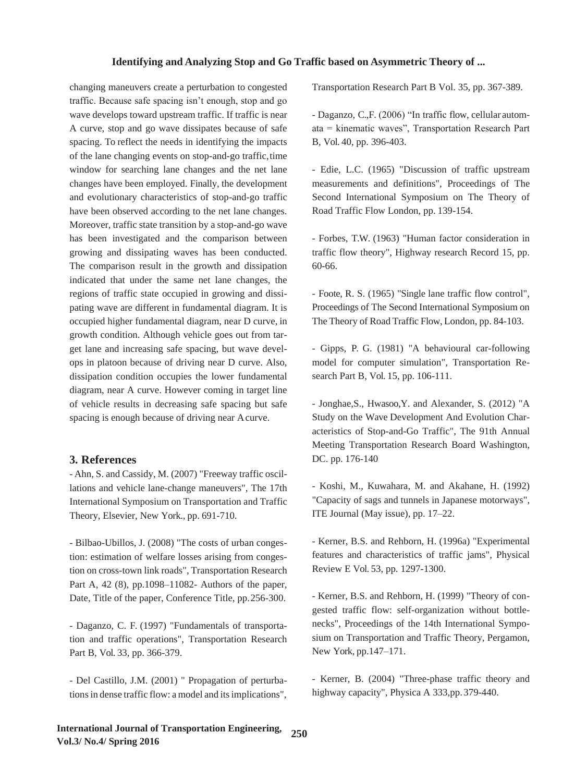## **Identifying and Analyzing Stop and Go Traffic based on Asymmetric Theory of ...**

changing maneuvers create a perturbation to congested traffic. Because safe spacing isn't enough, stop and go wave develops toward upstream traffic. If traffic is near A curve, stop and go wave dissipates because of safe spacing. To reflect the needs in identifying the impacts of the lane changing events on stop-and-go traffic,time window for searching lane changes and the net lane changes have been employed. Finally, the development and evolutionary characteristics of stop-and-go traffic have been observed according to the net lane changes. Moreover, traffic state transition by a stop-and-go wave has been investigated and the comparison between growing and dissipating waves has been conducted. The comparison result in the growth and dissipation indicated that under the same net lane changes, the regions of traffic state occupied in growing and dissipating wave are different in fundamental diagram. It is occupied higher fundamental diagram, near D curve, in growth condition. Although vehicle goes out from target lane and increasing safe spacing, but wave develops in platoon because of driving near D curve. Also, dissipation condition occupies the lower fundamental diagram, near A curve. However coming in target line of vehicle results in decreasing safe spacing but safe spacing is enough because of driving near Acurve.

# **3. References**

- Ahn, S. and Cassidy, M. (2007) "Freeway traffic oscillations and vehicle lane-change maneuvers", The 17th International Symposium on Transportation and Traffic Theory, Elsevier, New York., pp. 691-710.

- Bilbao-Ubillos, J. (2008) "The costs of urban congestion: estimation of welfare losses arising from congestion on cross-town link roads", Transportation Research Part A, 42 (8), pp.1098–11082- Authors of the paper, Date, Title of the paper, Conference Title, pp.256-300.

- Daganzo, C. F. (1997) "Fundamentals of transportation and traffic operations", Transportation Research Part B, Vol. 33, pp. 366-379.

- Del Castillo, J.M. (2001) " Propagation of perturbations in dense traffic flow: a model and its implications", Transportation Research Part B Vol. 35, pp. 367-389.

- Daganzo, C.,F. (2006) "In traffic flow, cellular automata = kinematic waves", Transportation Research Part B, Vol. 40, pp. 396-403.

- Edie, L.C. (1965) "Discussion of traffic upstream measurements and definitions", Proceedings of The Second International Symposium on The Theory of Road Traffic Flow London, pp. 139-154.

- Forbes, T.W. (1963) "Human factor consideration in traffic flow theory", Highway research Record 15, pp. 60-66.

- Foote, R. S. (1965) "Single lane traffic flow control", Proceedings of The Second International Symposium on The Theory of Road Traffic Flow, London, pp. 84-103.

- Gipps, P. G. (1981) "A behavioural car-following model for computer simulation", Transportation Research Part B, Vol. 15, pp. 106-111.

- Jonghae,S., Hwasoo,Y. and Alexander, S. (2012) "A Study on the Wave Development And Evolution Characteristics of Stop-and-Go Traffic", The 91th Annual Meeting Transportation Research Board Washington, DC. pp. 176-140

- Koshi, M., Kuwahara, M. and Akahane, H. (1992) "Capacity of sags and tunnels in Japanese motorways", ITE Journal (May issue), pp. 17–22.

- Kerner, B.S. and Rehborn, H. (1996a) "Experimental features and characteristics of traffic jams", Physical Review E Vol. 53, pp. 1297-1300.

- Kerner, B.S. and Rehborn, H. (1999) "Theory of congested traffic flow: self-organization without bottlenecks", Proceedings of the 14th International Symposium on Transportation and Traffic Theory, Pergamon, New York, pp.147–171.

- Kerner, B. (2004) "Three-phase traffic theory and highway capacity", Physica A 333,pp.379-440.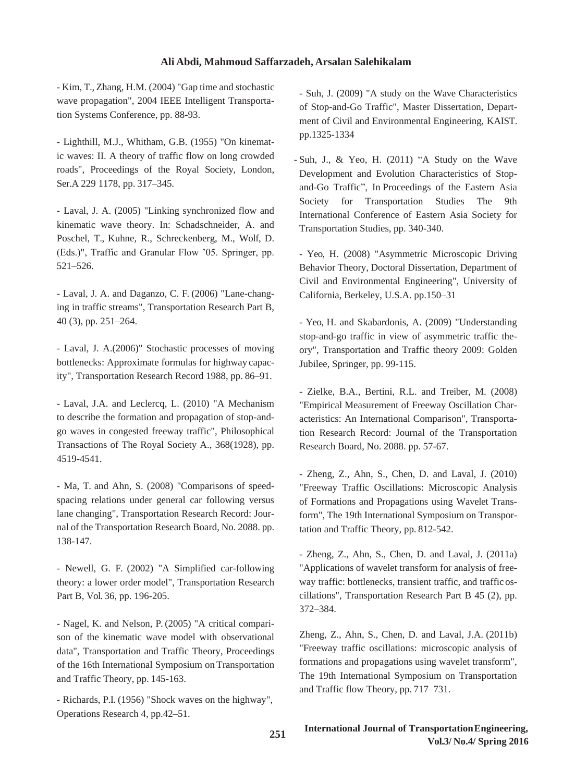- Kim, T., Zhang, H.M. (2004) "Gap time and stochastic wave propagation", 2004 IEEE Intelligent Transportation Systems Conference, pp. 88-93.

- Lighthill, M.J., Whitham, G.B. (1955) "On kinematic waves: II. A theory of traffic flow on long crowded roads", Proceedings of the Royal Society, London, Ser.A 229 1178, pp. 317–345.

- Laval, J. A. (2005) "Linking synchronized flow and kinematic wave theory. In: Schadschneider, A. and Poschel, T., Kuhne, R., Schreckenberg, M., Wolf, D. (Eds.)", Traffic and Granular Flow '05. Springer, pp. 521–526.

- Laval, J. A. and Daganzo, C. F. (2006) "Lane-changing in traffic streams", Transportation Research Part B, 40 (3), pp. 251–264.

- Laval, J. A.(2006)" Stochastic processes of moving bottlenecks: Approximate formulas for highway capacity", Transportation Research Record 1988, pp. 86–91.

- Laval, J.A. and Leclercq, L. (2010) "A Mechanism to describe the formation and propagation of stop-andgo waves in congested freeway traffic", Philosophical Transactions of The Royal Society A., 368(1928), pp. 4519-4541.

- Ma, T. and Ahn, S. (2008) "Comparisons of speedspacing relations under general car following versus lane changing", Transportation Research Record: Journal of the Transportation Research Board, No. 2088. pp. 138-147.

- Newell, G. F. (2002) "A Simplified car-following theory: a lower order model", Transportation Research Part B, Vol. 36, pp. 196-205.

- Nagel, K. and Nelson, P. (2005) "A critical comparison of the kinematic wave model with observational data", Transportation and Traffic Theory, Proceedings of the 16th International Symposium on Transportation and Traffic Theory, pp. 145-163.

- Richards, P.I. (1956) "Shock waves on the highway", Operations Research 4, pp.42–51.

- Suh, J. (2009) "A study on the Wave Characteristics of Stop-and-Go Traffic", Master Dissertation, Department of Civil and Environmental Engineering, KAIST. pp.1325-1334

- Suh, J., & Yeo, H. (2011) "A Study on the Wave Development and Evolution Characteristics of Stopand-Go Traffic", In Proceedings of the Eastern Asia Society for Transportation Studies The 9th International Conference of Eastern Asia Society for Transportation Studies, pp. 340-340.

- Yeo, H. (2008) "Asymmetric Microscopic Driving Behavior Theory, Doctoral Dissertation, Department of Civil and Environmental Engineering", University of California, Berkeley, U.S.A. pp.150–31

- Yeo, H. and Skabardonis, A. (2009) "Understanding stop-and-go traffic in view of asymmetric traffic theory", Transportation and Traffic theory 2009: Golden Jubilee, Springer, pp. 99-115.

- Zielke, B.A., Bertini, R.L. and Treiber, M. (2008) "Empirical Measurement of Freeway Oscillation Characteristics: An International Comparison", Transportation Research Record: Journal of the Transportation Research Board, No. 2088. pp. 57-67.

- Zheng, Z., Ahn, S., Chen, D. and Laval, J. (2010) "Freeway Traffic Oscillations: Microscopic Analysis of Formations and Propagations using Wavelet Transform", The 19th International Symposium on Transportation and Traffic Theory, pp. 812-542.

- Zheng, Z., Ahn, S., Chen, D. and Laval, J. (2011a) "Applications of wavelet transform for analysis of freeway traffic: bottlenecks, transient traffic, and traffic oscillations", Transportation Research Part B 45 (2), pp. 372–384.

Zheng, Z., Ahn, S., Chen, D. and Laval, J.A. (2011b) "Freeway traffic oscillations: microscopic analysis of formations and propagations using wavelet transform", The 19th International Symposium on Transportation and Traffic flow Theory, pp. 717–731.